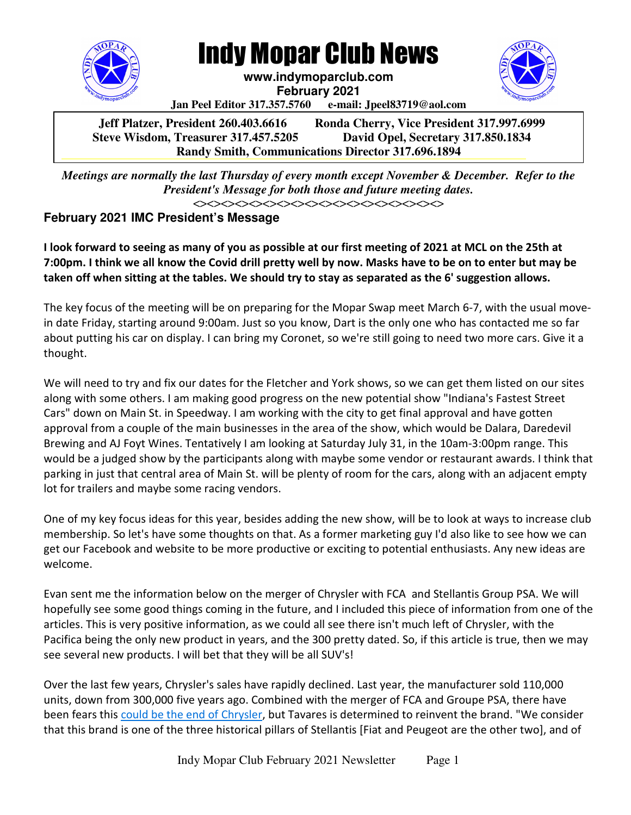

Indy Mopar Club News

**www.indymoparclub.com February 2021** 



**Jan Peel Editor 317.357.5760 e-mail: Jpeel83719@aol.com** 

**Jeff Platzer, President 260.403.6616 Ronda Cherry, Vice President 317.997.6999 Steve Wisdom, Treasurer 317.457.5205 David Opel, Secretary 317.850.1834 Randy Smith, Communications Director 317.696.1894** 

*Meetings are normally the last Thursday of every month except November & December. Refer to the President's Message for both those and future meeting dates.*   **Steve Wisdom, Treasurer 317.457.5205 Dave Opel, Secretary 317.850.1834**

<><><><><><><><><><><><><><><><><><>

# **February 2021 IMC President's Message**

I look forward to seeing as many of you as possible at our first meeting of 2021 at MCL on the 25th at 7:00pm. I think we all know the Covid drill pretty well by now. Masks have to be on to enter but may be taken off when sitting at the tables. We should try to stay as separated as the 6' suggestion allows.

The key focus of the meeting will be on preparing for the Mopar Swap meet March 6-7, with the usual movein date Friday, starting around 9:00am. Just so you know, Dart is the only one who has contacted me so far about putting his car on display. I can bring my Coronet, so we're still going to need two more cars. Give it a thought.

We will need to try and fix our dates for the Fletcher and York shows, so we can get them listed on our sites along with some others. I am making good progress on the new potential show "Indiana's Fastest Street Cars" down on Main St. in Speedway. I am working with the city to get final approval and have gotten approval from a couple of the main businesses in the area of the show, which would be Dalara, Daredevil Brewing and AJ Foyt Wines. Tentatively I am looking at Saturday July 31, in the 10am-3:00pm range. This would be a judged show by the participants along with maybe some vendor or restaurant awards. I think that parking in just that central area of Main St. will be plenty of room for the cars, along with an adjacent empty lot for trailers and maybe some racing vendors.

One of my key focus ideas for this year, besides adding the new show, will be to look at ways to increase club membership. So let's have some thoughts on that. As a former marketing guy I'd also like to see how we can get our Facebook and website to be more productive or exciting to potential enthusiasts. Any new ideas are welcome.

Evan sent me the information below on the merger of Chrysler with FCA and Stellantis Group PSA. We will hopefully see some good things coming in the future, and I included this piece of information from one of the articles. This is very positive information, as we could all see there isn't much left of Chrysler, with the Pacifica being the only new product in years, and the 300 pretty dated. So, if this article is true, then we may see several new products. I will bet that they will be all SUV's!

Over the last few years, Chrysler's sales have rapidly declined. Last year, the manufacturer sold 110,000 units, down from 300,000 five years ago. Combined with the merger of FCA and Groupe PSA, there have been fears this could be the end of Chrysler, but Tavares is determined to reinvent the brand. "We consider that this brand is one of the three historical pillars of Stellantis [Fiat and Peugeot are the other two], and of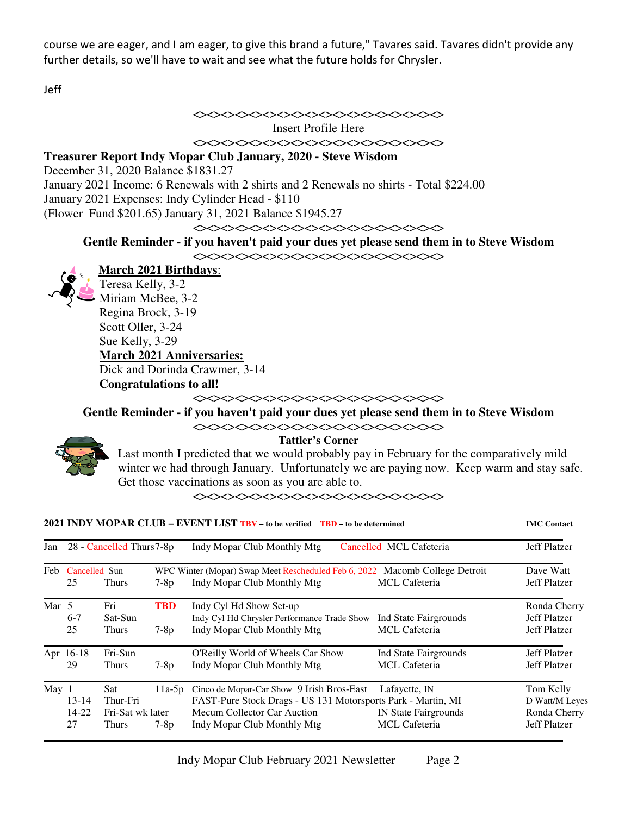course we are eager, and I am eager, to give this brand a future," Tavares said. Tavares didn't provide any further details, so we'll have to wait and see what the future holds for Chrysler.

Jeff

## <><><><><><><><><><><><><><><><><><>

Insert Profile Here

<><><><><><><><><><><><><><><><><><>

### **Treasurer Report Indy Mopar Club January, 2020 - Steve Wisdom**

December 31, 2020 Balance \$1831.27

January 2021 Income: 6 Renewals with 2 shirts and 2 Renewals no shirts - Total \$224.00

January 2021 Expenses: Indy Cylinder Head - \$110

(Flower Fund \$201.65) January 31, 2021 Balance \$1945.27

### <><><><><><><><><><><><><><><><><><>

## **Gentle Reminder - if you haven't paid your dues yet please send them in to Steve Wisdom**



<><><><><><><><><><><><><><><><><><>

**March 2021 Birthdays**: Teresa Kelly, 3-2 Miriam McBee, 3-2 Regina Brock, 3-19 Scott Oller, 3-24 Sue Kelly, 3-29 **March 2021 Anniversaries:**  Dick and Dorinda Crawmer, 3-14 **Congratulations to all!** 

<><><><><><><><><><><><><><><><><><>

**Gentle Reminder - if you haven't paid your dues yet please send them in to Steve Wisdom** 





#### **Tattler's Corner**

 Last month I predicted that we would probably pay in February for the comparatively mild winter we had through January. Unfortunately we are paying now. Keep warm and stay safe. Get those vaccinations as soon as you are able to.

<><><><><><><><><><><><><><><><><><>

**2021 INDY MOPAR CLUB – EVENT LIST TBV – to be verified TBD – to be determined IMC Contact**

| Jan              | 28 - Cancelled Thurs 7-8p |                  |            | Indy Mopar Club Monthly Mtg<br>Cancelled MCL Cafeteria                         | <b>Jeff Platzer</b>   |                     |
|------------------|---------------------------|------------------|------------|--------------------------------------------------------------------------------|-----------------------|---------------------|
|                  | Feb Cancelled Sun         |                  |            | Macomb College Detroit<br>WPC Winter (Mopar) Swap Meet Rescheduled Feb 6, 2022 |                       | Dave Watt           |
|                  | 25                        | <b>Thurs</b>     | $7-8p$     | Indy Mopar Club Monthly Mtg                                                    | <b>MCL</b> Cafeteria  | Jeff Platzer        |
| Mar 5            |                           | Fri              | <b>TBD</b> | Indy Cyl Hd Show Set-up                                                        |                       | Ronda Cherry        |
|                  | $6-7$                     | Sat-Sun          |            | Indy Cyl Hd Chrysler Performance Trade Show                                    | Ind State Fairgrounds | Jeff Platzer        |
|                  | 25                        | <b>Thurs</b>     | $7-8p$     | Indy Mopar Club Monthly Mtg                                                    | <b>MCL</b> Cafeteria  | Jeff Platzer        |
|                  | Apr 16-18                 | Fri-Sun          |            | O'Reilly World of Wheels Car Show                                              | Ind State Fairgrounds | <b>Jeff Platzer</b> |
|                  | 29                        | <b>Thurs</b>     | $7-8p$     | Indy Mopar Club Monthly Mtg                                                    | <b>MCL</b> Cafeteria  | <b>Jeff Platzer</b> |
| May <sub>1</sub> |                           | Sat \,           | $11a-5p$   | Cinco de Mopar-Car Show 9 Irish Bros-East                                      | Lafayette, IN         | Tom Kelly           |
|                  | $13 - 14$                 | Thur-Fri         |            | FAST-Pure Stock Drags - US 131 Motorsports Park - Martin, MI                   |                       | D Watt/M Leyes      |
|                  | $14 - 22$                 | Fri-Sat wk later |            | Mecum Collector Car Auction                                                    | IN State Fairgrounds  | Ronda Cherry        |
|                  | 27                        | Thurs            | $7-8p$     | Indy Mopar Club Monthly Mtg                                                    | <b>MCL</b> Cafeteria  | Jeff Platzer        |